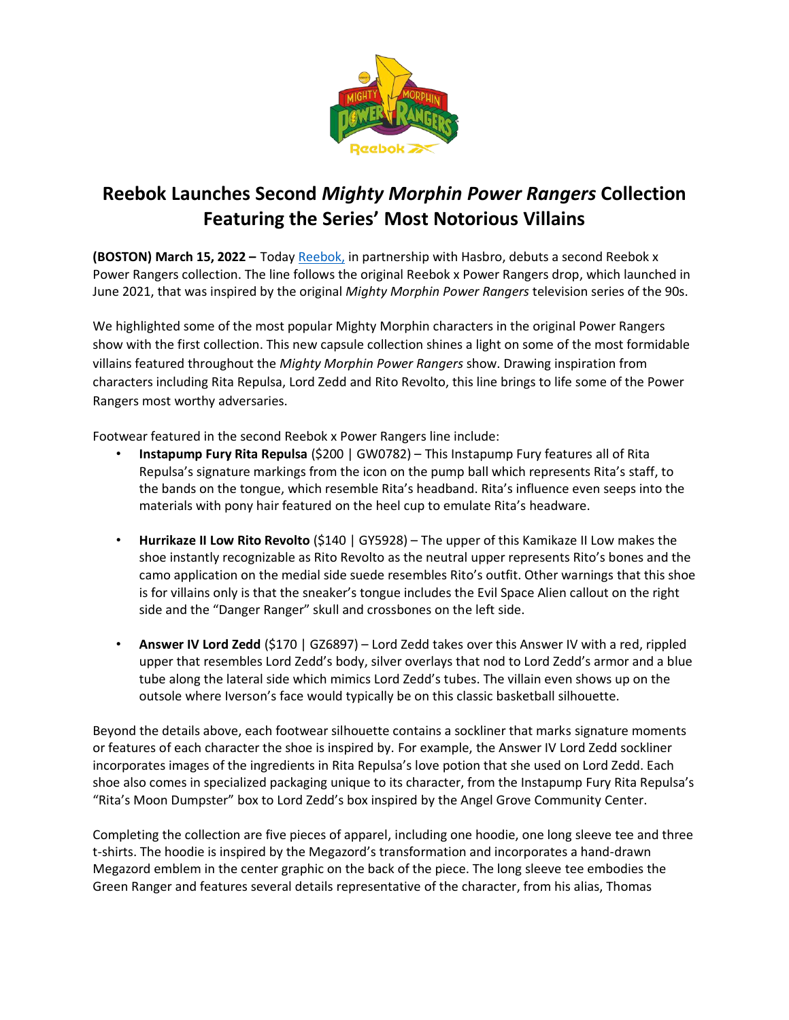

## **Reebok Launches Second** *Mighty Morphin Power Rangers* **Collection Featuring the Series' Most Notorious Villains**

**(BOSTON) March 15, 2022 –** Toda[y Reebok,](http://www.reebok.com/) in partnership with Hasbro, debuts a second Reebok x Power Rangers collection. The line follows the original Reebok x Power Rangers drop, which launched in June 2021, that was inspired by the original *Mighty Morphin Power Rangers* television series of the 90s.

We highlighted some of the most popular Mighty Morphin characters in the original Power Rangers show with the first collection. This new capsule collection shines a light on some of the most formidable villains featured throughout the *Mighty Morphin Power Rangers* show. Drawing inspiration from characters including Rita Repulsa, Lord Zedd and Rito Revolto, this line brings to life some of the Power Rangers most worthy adversaries.

Footwear featured in the second Reebok x Power Rangers line include:

- **Instapump Fury Rita Repulsa** (\$200 | GW0782) This Instapump Fury features all of Rita Repulsa's signature markings from the icon on the pump ball which represents Rita's staff, to the bands on the tongue, which resemble Rita's headband. Rita's influence even seeps into the materials with pony hair featured on the heel cup to emulate Rita's headware.
- **Hurrikaze II Low Rito Revolto** (\$140 | GY5928) The upper of this Kamikaze II Low makes the shoe instantly recognizable as Rito Revolto as the neutral upper represents Rito's bones and the camo application on the medial side suede resembles Rito's outfit. Other warnings that this shoe is for villains only is that the sneaker's tongue includes the Evil Space Alien callout on the right side and the "Danger Ranger" skull and crossbones on the left side.
- **Answer IV Lord Zedd** (\$170 | GZ6897) Lord Zedd takes over this Answer IV with a red, rippled upper that resembles Lord Zedd's body, silver overlays that nod to Lord Zedd's armor and a blue tube along the lateral side which mimics Lord Zedd's tubes. The villain even shows up on the outsole where Iverson's face would typically be on this classic basketball silhouette.

Beyond the details above, each footwear silhouette contains a sockliner that marks signature moments or features of each character the shoe is inspired by. For example, the Answer IV Lord Zedd sockliner incorporates images of the ingredients in Rita Repulsa's love potion that she used on Lord Zedd. Each shoe also comes in specialized packaging unique to its character, from the Instapump Fury Rita Repulsa's "Rita's Moon Dumpster" box to Lord Zedd's box inspired by the Angel Grove Community Center.

Completing the collection are five pieces of apparel, including one hoodie, one long sleeve tee and three t-shirts. The hoodie is inspired by the Megazord's transformation and incorporates a hand-drawn Megazord emblem in the center graphic on the back of the piece. The long sleeve tee embodies the Green Ranger and features several details representative of the character, from his alias, Thomas